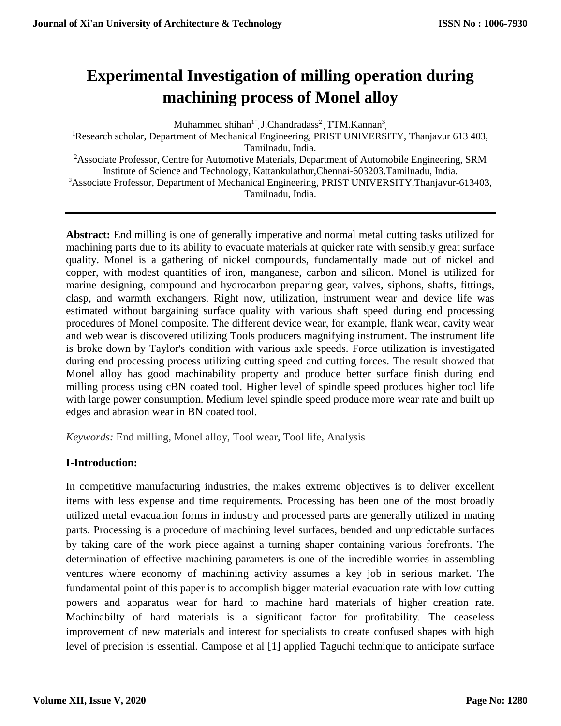# **Experimental Investigation of milling operation during machining process of Monel alloy**

Muhammed shihan<sup>1\*</sup>, J.Chandradass<sup>2</sup>, TTM.Kannan<sup>3</sup>, <sup>1</sup>Research scholar, Department of Mechanical Engineering, PRIST UNIVERSITY, Thanjavur 613 403, Tamilnadu, India. <sup>2</sup>Associate Professor, Centre for Automotive Materials, Department of Automobile Engineering, SRM Institute of Science and Technology, Kattankulathur,Chennai-603203.Tamilnadu, India. <sup>3</sup>Associate Professor, Department of Mechanical Engineering, PRIST UNIVERSITY,Thanjavur-613403, Tamilnadu, India.

**Abstract:** End milling is one of generally imperative and normal metal cutting tasks utilized for machining parts due to its ability to evacuate materials at quicker rate with sensibly great surface quality. Monel is a gathering of nickel compounds, fundamentally made out of nickel and copper, with modest quantities of iron, manganese, carbon and silicon. Monel is utilized for marine designing, compound and hydrocarbon preparing gear, valves, siphons, shafts, fittings, clasp, and warmth exchangers. Right now, utilization, instrument wear and device life was estimated without bargaining surface quality with various shaft speed during end processing procedures of Monel composite. The different device wear, for example, flank wear, cavity wear and web wear is discovered utilizing Tools producers magnifying instrument. The instrument life is broke down by Taylor's condition with various axle speeds. Force utilization is investigated during end processing process utilizing cutting speed and cutting forces. The result showed that Monel alloy has good machinability property and produce better surface finish during end milling process using cBN coated tool. Higher level of spindle speed produces higher tool life with large power consumption. Medium level spindle speed produce more wear rate and built up edges and abrasion wear in BN coated tool.

*Keywords:* End milling, Monel alloy, Tool wear, Tool life, Analysis

## **I-Introduction:**

In competitive manufacturing industries, the makes extreme objectives is to deliver excellent items with less expense and time requirements. Processing has been one of the most broadly utilized metal evacuation forms in industry and processed parts are generally utilized in mating parts. Processing is a procedure of machining level surfaces, bended and unpredictable surfaces by taking care of the work piece against a turning shaper containing various forefronts. The determination of effective machining parameters is one of the incredible worries in assembling ventures where economy of machining activity assumes a key job in serious market. The fundamental point of this paper is to accomplish bigger material evacuation rate with low cutting powers and apparatus wear for hard to machine hard materials of higher creation rate. Machinabilty of hard materials is a significant factor for profitability. The ceaseless improvement of new materials and interest for specialists to create confused shapes with high level of precision is essential. Campose et al [1] applied Taguchi technique to anticipate surface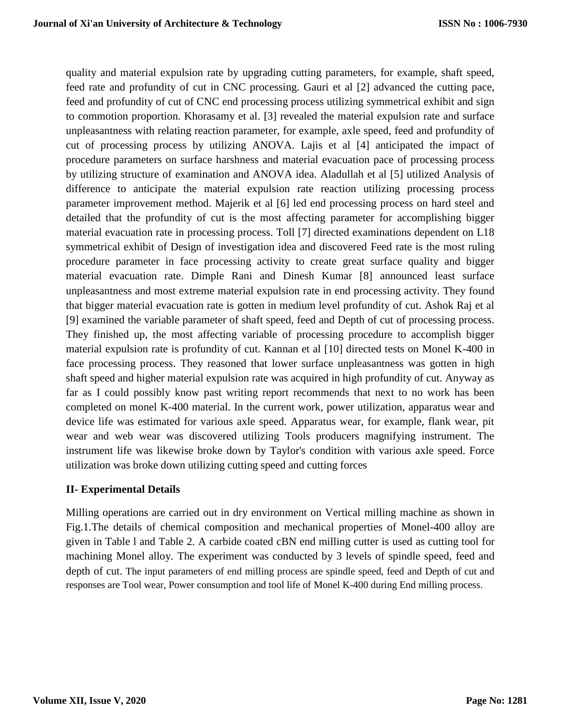quality and material expulsion rate by upgrading cutting parameters, for example, shaft speed, feed rate and profundity of cut in CNC processing. Gauri et al [2] advanced the cutting pace, feed and profundity of cut of CNC end processing process utilizing symmetrical exhibit and sign to commotion proportion. Khorasamy et al. [3] revealed the material expulsion rate and surface unpleasantness with relating reaction parameter, for example, axle speed, feed and profundity of cut of processing process by utilizing ANOVA. Lajis et al [4] anticipated the impact of procedure parameters on surface harshness and material evacuation pace of processing process by utilizing structure of examination and ANOVA idea. Aladullah et al [5] utilized Analysis of difference to anticipate the material expulsion rate reaction utilizing processing process parameter improvement method. Majerik et al [6] led end processing process on hard steel and detailed that the profundity of cut is the most affecting parameter for accomplishing bigger material evacuation rate in processing process. Toll [7] directed examinations dependent on L18 symmetrical exhibit of Design of investigation idea and discovered Feed rate is the most ruling procedure parameter in face processing activity to create great surface quality and bigger material evacuation rate. Dimple Rani and Dinesh Kumar [8] announced least surface unpleasantness and most extreme material expulsion rate in end processing activity. They found that bigger material evacuation rate is gotten in medium level profundity of cut. Ashok Raj et al [9] examined the variable parameter of shaft speed, feed and Depth of cut of processing process. They finished up, the most affecting variable of processing procedure to accomplish bigger material expulsion rate is profundity of cut. Kannan et al [10] directed tests on Monel K-400 in face processing process. They reasoned that lower surface unpleasantness was gotten in high shaft speed and higher material expulsion rate was acquired in high profundity of cut. Anyway as far as I could possibly know past writing report recommends that next to no work has been completed on monel K-400 material. In the current work, power utilization, apparatus wear and device life was estimated for various axle speed. Apparatus wear, for example, flank wear, pit wear and web wear was discovered utilizing Tools producers magnifying instrument. The instrument life was likewise broke down by Taylor's condition with various axle speed. Force utilization was broke down utilizing cutting speed and cutting forces

## **II- Experimental Details**

Milling operations are carried out in dry environment on Vertical milling machine as shown in Fig.1.The details of chemical composition and mechanical properties of Monel-400 alloy are given in Table l and Table 2. A carbide coated cBN end milling cutter is used as cutting tool for machining Monel alloy. The experiment was conducted by 3 levels of spindle speed, feed and depth of cut. The input parameters of end milling process are spindle speed, feed and Depth of cut and responses are Tool wear, Power consumption and tool life of Monel K-400 during End milling process.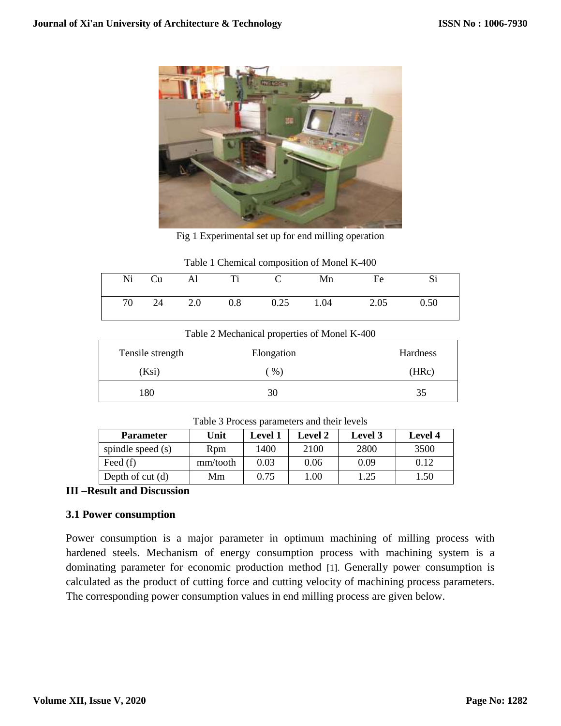

Fig 1 Experimental set up for end milling operation

| Twore T encriment composition of monet is 100 |  |    |     |     |      |      |      |      |
|-----------------------------------------------|--|----|-----|-----|------|------|------|------|
| Ni                                            |  | Cu | Al  | Ti  |      | Mn   | Fe   |      |
| 70                                            |  | 24 | 2.0 | 0.8 | 0.25 | 1.04 | 2.05 | 0.50 |

| Table 1 Chemical composition of Monel K-400 |  |
|---------------------------------------------|--|
|---------------------------------------------|--|

| Table 2 Mechanical properties of Monel K-400 |            |                 |  |  |  |
|----------------------------------------------|------------|-----------------|--|--|--|
| Tensile strength                             | Elongation | <b>Hardness</b> |  |  |  |
| (Ksi)                                        | $%$ )      | (HRc)           |  |  |  |
| 180                                          | 30         | 35              |  |  |  |
|                                              |            |                 |  |  |  |

|  | Table 3 Process parameters and their levels |
|--|---------------------------------------------|
|--|---------------------------------------------|

| <b>Parameter</b>   | Unit     | <b>Level 1</b> | <b>Level 2</b> | Level 3 | <b>Level</b> 4 |
|--------------------|----------|----------------|----------------|---------|----------------|
| spindle speed (s)  | Rpm      | 1400           | 2100           | 2800    | 3500           |
| Feed $(f)$         | mm/tooth | 0.03           | 0.06           | 0.09    | 0.12           |
| Depth of cut $(d)$ | Mm       | 0.75           | .00            | 1.25    | 1.50           |

## **III –Result and Discussion**

### **3.1 Power consumption**

Power consumption is a major parameter in optimum machining of milling process with hardened steels. Mechanism of energy consumption process with machining system is a dominating parameter for economic production method [1]. Generally power consumption is calculated as the product of cutting force and cutting velocity of machining process parameters. The corresponding power consumption values in end milling process are given below.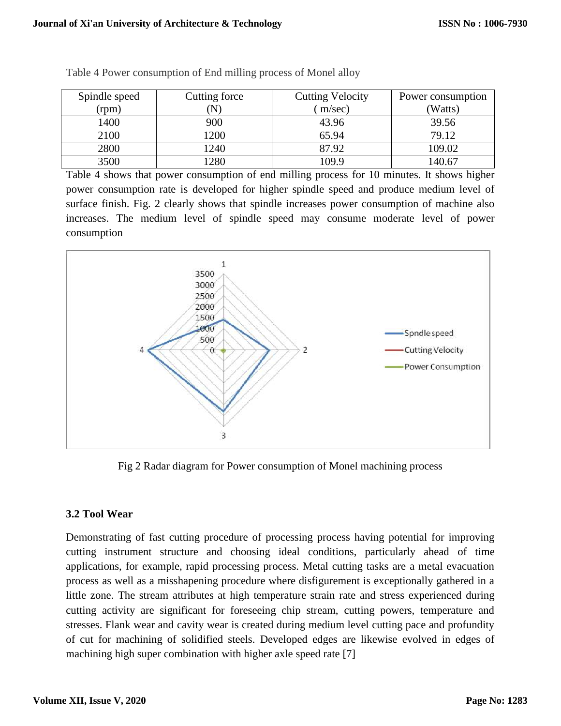| Spindle speed | Cutting force | <b>Cutting Velocity</b> | Power consumption |
|---------------|---------------|-------------------------|-------------------|
| (rpm)         | ${\bf N}$     | m/sec)                  | (Watts)           |
| 1400          | 900           | 43.96                   | 39.56             |
| 2100          | 1200          | 65.94                   | 79.12             |
| 2800          | 1240          | 87.92                   | 109.02            |
| 3500          | 1280          | 109.9                   | 140.67            |

Table 4 Power consumption of End milling process of Monel alloy

Table 4 shows that power consumption of end milling process for 10 minutes. It shows higher power consumption rate is developed for higher spindle speed and produce medium level of surface finish. Fig. 2 clearly shows that spindle increases power consumption of machine also increases. The medium level of spindle speed may consume moderate level of power consumption



Fig 2 Radar diagram for Power consumption of Monel machining process

## **3.2 Tool Wear**

Demonstrating of fast cutting procedure of processing process having potential for improving cutting instrument structure and choosing ideal conditions, particularly ahead of time applications, for example, rapid processing process. Metal cutting tasks are a metal evacuation process as well as a misshapening procedure where disfigurement is exceptionally gathered in a little zone. The stream attributes at high temperature strain rate and stress experienced during cutting activity are significant for foreseeing chip stream, cutting powers, temperature and stresses. Flank wear and cavity wear is created during medium level cutting pace and profundity of cut for machining of solidified steels. Developed edges are likewise evolved in edges of machining high super combination with higher axle speed rate [7]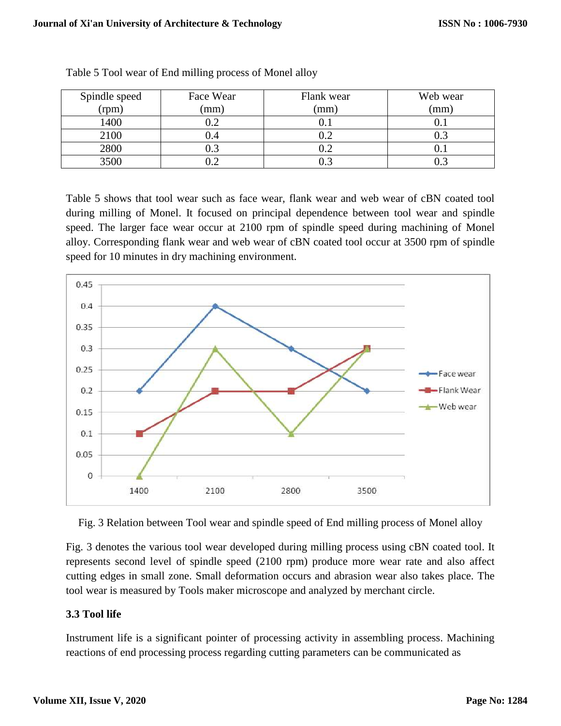| Spindle speed | Face Wear | Flank wear | Web wear |
|---------------|-----------|------------|----------|
| (rpm)         | (mm)      | (mm)       | (mm)     |
| 1400          |           |            |          |
| 2100          | J.4       |            |          |
| 2800          |           |            |          |
| 3500          |           |            |          |

Table 5 shows that tool wear such as face wear, flank wear and web wear of cBN coated tool during milling of Monel. It focused on principal dependence between tool wear and spindle speed. The larger face wear occur at 2100 rpm of spindle speed during machining of Monel alloy. Corresponding flank wear and web wear of cBN coated tool occur at 3500 rpm of spindle speed for 10 minutes in dry machining environment.





Fig. 3 denotes the various tool wear developed during milling process using cBN coated tool. It represents second level of spindle speed (2100 rpm) produce more wear rate and also affect cutting edges in small zone. Small deformation occurs and abrasion wear also takes place. The tool wear is measured by Tools maker microscope and analyzed by merchant circle.

## **3.3 Tool life**

Instrument life is a significant pointer of processing activity in assembling process. Machining reactions of end processing process regarding cutting parameters can be communicated as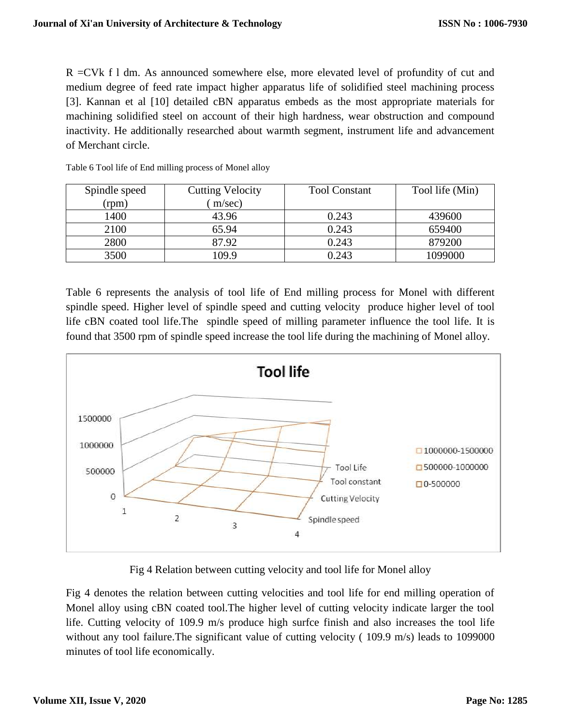R =CVk f l dm. As announced somewhere else, more elevated level of profundity of cut and medium degree of feed rate impact higher apparatus life of solidified steel machining process [3]. Kannan et al [10] detailed cBN apparatus embeds as the most appropriate materials for machining solidified steel on account of their high hardness, wear obstruction and compound inactivity. He additionally researched about warmth segment, instrument life and advancement of Merchant circle.

| Spindle speed | <b>Cutting Velocity</b> | <b>Tool Constant</b> | Tool life (Min) |
|---------------|-------------------------|----------------------|-----------------|
| (rpm)         | m/sec)                  |                      |                 |
| 1400          | 43.96                   | 0.243                | 439600          |
| 2100          | 65.94                   | 0.243                | 659400          |
| 2800          | 87.92                   | 0.243                | 879200          |
| 3500          | 109.9                   | 0.243                | 1099000         |

Table 6 Tool life of End milling process of Monel alloy

Table 6 represents the analysis of tool life of End milling process for Monel with different spindle speed. Higher level of spindle speed and cutting velocity produce higher level of tool life cBN coated tool life.The spindle speed of milling parameter influence the tool life. It is found that 3500 rpm of spindle speed increase the tool life during the machining of Monel alloy.



Fig 4 Relation between cutting velocity and tool life for Monel alloy

Fig 4 denotes the relation between cutting velocities and tool life for end milling operation of Monel alloy using cBN coated tool.The higher level of cutting velocity indicate larger the tool life. Cutting velocity of 109.9 m/s produce high surfce finish and also increases the tool life without any tool failure. The significant value of cutting velocity (109.9 m/s) leads to 1099000 minutes of tool life economically.